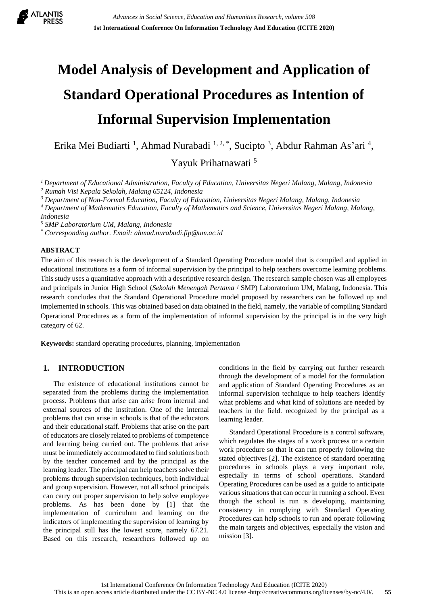

# **Model Analysis of Development and Application of Standard Operational Procedures as Intention of Informal Supervision Implementation**

Erika Mei Budiarti<sup>1</sup>, Ahmad Nurabadi<sup>1, 2, \*</sup>, Sucipto<sup>3</sup>, Abdur Rahman As'ari<sup>4</sup>,

Yayuk Prihatnawati <sup>5</sup>

*<sup>1</sup> Department of Educational Administration, Faculty of Education, Universitas Negeri Malang, Malang, Indonesia*

*<sup>2</sup> Rumah Visi Kepala Sekolah, Malang 65124, Indonesia*

*<sup>3</sup> Department of Non-Formal Education, Faculty of Education, Universitas Negeri Malang, Malang, Indonesia*

*<sup>4</sup> Department of Mathematics Education, Faculty of Mathematics and Science, Universitas Negeri Malang, Malang,* 

*Indonesia*

*<sup>5</sup> SMP Laboratorium UM, Malang, Indonesia*

*\* Corresponding author. Email: ahmad.nurabadi.fip@um.ac.id*

#### **ABSTRACT**

The aim of this research is the development of a Standard Operating Procedure model that is compiled and applied in educational institutions as a form of informal supervision by the principal to help teachers overcome learning problems. This study uses a quantitative approach with a descriptive research design. The research sample chosen was all employees and principals in Junior High School (*Sekolah Menengah Pertama* / SMP) Laboratorium UM, Malang, Indonesia. This research concludes that the Standard Operational Procedure model proposed by researchers can be followed up and implemented in schools. This was obtained based on data obtained in the field, namely, the variable of compiling Standard Operational Procedures as a form of the implementation of informal supervision by the principal is in the very high category of 62.

**Keywords:** standard operating procedures, planning, implementation

# **1. INTRODUCTION**

The existence of educational institutions cannot be separated from the problems during the implementation process. Problems that arise can arise from internal and external sources of the institution. One of the internal problems that can arise in schools is that of the educators and their educational staff. Problems that arise on the part of educators are closely related to problems of competence and learning being carried out. The problems that arise must be immediately accommodated to find solutions both by the teacher concerned and by the principal as the learning leader. The principal can help teachers solve their problems through supervision techniques, both individual and group supervision. However, not all school principals can carry out proper supervision to help solve employee problems. As has been done by [1] that the implementation of curriculum and learning on the indicators of implementing the supervision of learning by the principal still has the lowest score, namely 67.21. Based on this research, researchers followed up on conditions in the field by carrying out further research through the development of a model for the formulation and application of Standard Operating Procedures as an informal supervision technique to help teachers identify what problems and what kind of solutions are needed by teachers in the field. recognized by the principal as a learning leader.

Standard Operational Procedure is a control software, which regulates the stages of a work process or a certain work procedure so that it can run properly following the stated objectives [2]. The existence of standard operating procedures in schools plays a very important role, especially in terms of school operations. Standard Operating Procedures can be used as a guide to anticipate various situations that can occur in running a school. Even though the school is run is developing, maintaining consistency in complying with Standard Operating Procedures can help schools to run and operate following the main targets and objectives, especially the vision and mission [3].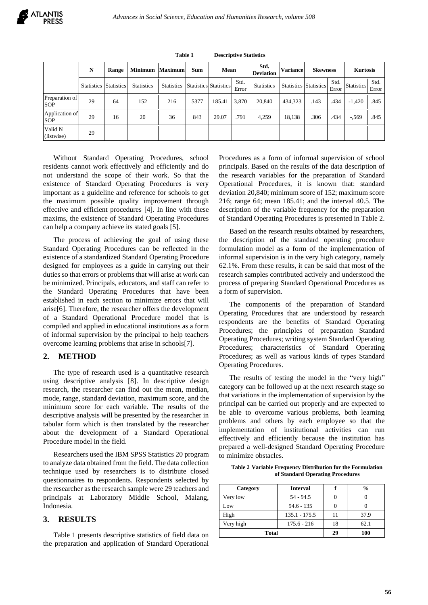|                              | N                     | Range | Minimum Maximum   |                                  | <b>Sum</b> | Mean   |               | Std.<br><b>Deviation</b> | <b>Variance</b> | <b>Skewness</b>              |               | <b>Kurtosis</b>   |               |
|------------------------------|-----------------------|-------|-------------------|----------------------------------|------------|--------|---------------|--------------------------|-----------------|------------------------------|---------------|-------------------|---------------|
|                              | Statistics Statistics |       | <b>Statistics</b> | Statistics Statistics Statistics |            |        | Std.<br>Error | <b>Statistics</b>        |                 | <b>Statistics Statistics</b> | Std.<br>Error | <b>Statistics</b> | Std.<br>Error |
| Preparation of<br><b>SOP</b> | 29                    | 64    | 152               | 216                              | 5377       | 185.41 | 3.870         | 20,840                   | 434.323         | .143                         | .434          | $-1,420$          | .845          |
| Application of<br><b>SOP</b> | 29                    | 16    | 20                | 36                               | 843        | 29.07  | .791          | 4.259                    | 18,138          | .306                         | .434          | $-.569$           | .845          |
| Valid N<br>(listwise)        | 29                    |       |                   |                                  |            |        |               |                          |                 |                              |               |                   |               |

**Table 1 Descriptive Statistics**

Without Standard Operating Procedures, school residents cannot work effectively and efficiently and do not understand the scope of their work. So that the existence of Standard Operating Procedures is very important as a guideline and reference for schools to get the maximum possible quality improvement through effective and efficient procedures [4]. In line with these maxims, the existence of Standard Operating Procedures can help a company achieve its stated goals [5].

The process of achieving the goal of using these Standard Operating Procedures can be reflected in the existence of a standardized Standard Operating Procedure designed for employees as a guide in carrying out their duties so that errors or problems that will arise at work can be minimized. Principals, educators, and staff can refer to the Standard Operating Procedures that have been established in each section to minimize errors that will arise[6]. Therefore, the researcher offers the development of a Standard Operational Procedure model that is compiled and applied in educational institutions as a form of informal supervision by the principal to help teachers overcome learning problems that arise in schools[7].

## **2. METHOD**

The type of research used is a quantitative research using descriptive analysis [8]. In descriptive design research, the researcher can find out the mean, median, mode, range, standard deviation, maximum score, and the minimum score for each variable. The results of the descriptive analysis will be presented by the researcher in tabular form which is then translated by the researcher about the development of a Standard Operational Procedure model in the field.

Researchers used the IBM SPSS Statistics 20 program to analyze data obtained from the field. The data collection technique used by researchers is to distribute closed questionnaires to respondents. Respondents selected by the researcher as the research sample were 29 teachers and principals at Laboratory Middle School, Malang, Indonesia.

#### **3. RESULTS**

Table 1 presents descriptive statistics of field data on the preparation and application of Standard Operational Procedures as a form of informal supervision of school principals. Based on the results of the data description of the research variables for the preparation of Standard Operational Procedures, it is known that: standard deviation 20,840; minimum score of 152; maximum score 216; range 64; mean 185.41; and the interval 40.5. The description of the variable frequency for the preparation of Standard Operating Procedures is presented in Table 2.

Based on the research results obtained by researchers, the description of the standard operating procedure formulation model as a form of the implementation of informal supervision is in the very high category, namely 62.1%. From these results, it can be said that most of the research samples contributed actively and understood the process of preparing Standard Operational Procedures as a form of supervision.

The components of the preparation of Standard Operating Procedures that are understood by research respondents are the benefits of Standard Operating Procedures; the principles of preparation Standard Operating Procedures; writing system Standard Operating Procedures; characteristics of Standard Operating Procedures; as well as various kinds of types Standard Operating Procedures.

The results of testing the model in the "very high" category can be followed up at the next research stage so that variations in the implementation of supervision by the principal can be carried out properly and are expected to be able to overcome various problems, both learning problems and others by each employee so that the implementation of institutional activities can run effectively and efficiently because the institution has prepared a well-designed Standard Operating Procedure to minimize obstacles.

**Table 2 Variable Frequency Distribution for the Formulation of Standard Operating Procedures**

| Category  | <b>Interval</b> |     | $\frac{0}{0}$ |
|-----------|-----------------|-----|---------------|
| Very low  | $54 - 94.5$     |     |               |
| Low       | $94.6 - 135$    |     |               |
| High      | $135.1 - 175.5$ | 11  | 37.9          |
| Very high | $175.6 - 216$   | 18  | 62.1          |
| Total     | 29              | 100 |               |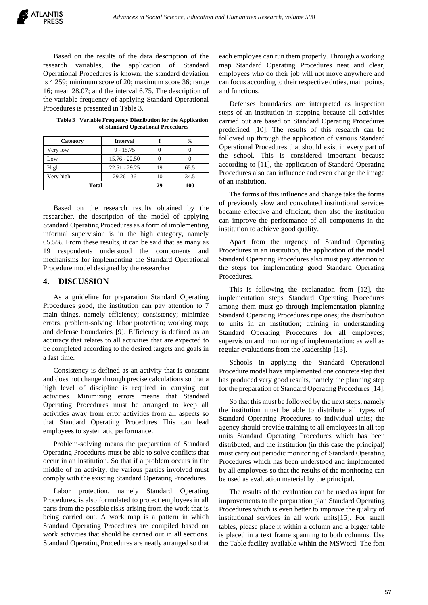Based on the results of the data description of the research variables, the application of Standard Operational Procedures is known: the standard deviation is 4.259; minimum score of 20; maximum score 36; range 16; mean 28.07; and the interval 6.75. The description of the variable frequency of applying Standard Operational Procedures is presented in Table 3.

| Category     | <b>Interval</b> |     | $\frac{0}{0}$ |
|--------------|-----------------|-----|---------------|
| Very low     | $9 - 15.75$     |     |               |
| Low          | $15.76 - 22.50$ | O   |               |
| High         | $22.51 - 29.25$ | 19  | 65.5          |
| Very high    | $29.26 - 36$    | 10  | 34.5          |
| <b>Total</b> | 29              | 100 |               |

**Table 3 Variable Frequency Distribution for the Application of Standard Operational Procedures**

Based on the research results obtained by the researcher, the description of the model of applying Standard Operating Procedures as a form of implementing informal supervision is in the high category, namely 65.5%. From these results, it can be said that as many as 19 respondents understood the components and mechanisms for implementing the Standard Operational Procedure model designed by the researcher.

#### **4. DISCUSSION**

As a guideline for preparation Standard Operating Procedures good, the institution can pay attention to 7 main things, namely efficiency; consistency; minimize errors; problem-solving; labor protection; working map; and defense boundaries [9]. Efficiency is defined as an accuracy that relates to all activities that are expected to be completed according to the desired targets and goals in a fast time.

Consistency is defined as an activity that is constant and does not change through precise calculations so that a high level of discipline is required in carrying out activities. Minimizing errors means that Standard Operating Procedures must be arranged to keep all activities away from error activities from all aspects so that Standard Operating Procedures This can lead employees to systematic performance.

Problem-solving means the preparation of Standard Operating Procedures must be able to solve conflicts that occur in an institution. So that if a problem occurs in the middle of an activity, the various parties involved must comply with the existing Standard Operating Procedures.

Labor protection, namely Standard Operating Procedures, is also formulated to protect employees in all parts from the possible risks arising from the work that is being carried out. A work map is a pattern in which Standard Operating Procedures are compiled based on work activities that should be carried out in all sections. Standard Operating Procedures are neatly arranged so that each employee can run them properly. Through a working map Standard Operating Procedures neat and clear, employees who do their job will not move anywhere and can focus according to their respective duties, main points, and functions.

Defenses boundaries are interpreted as inspection steps of an institution in stepping because all activities carried out are based on Standard Operating Procedures predefined [10]. The results of this research can be followed up through the application of various Standard Operational Procedures that should exist in every part of the school. This is considered important because according to [11], the application of Standard Operating Procedures also can influence and even change the image of an institution.

The forms of this influence and change take the forms of previously slow and convoluted institutional services became effective and efficient; then also the institution can improve the performance of all components in the institution to achieve good quality.

Apart from the urgency of Standard Operating Procedures in an institution, the application of the model Standard Operating Procedures also must pay attention to the steps for implementing good Standard Operating Procedures.

This is following the explanation from [12], the implementation steps Standard Operating Procedures among them must go through implementation planning Standard Operating Procedures ripe ones; the distribution to units in an institution; training in understanding Standard Operating Procedures for all employees; supervision and monitoring of implementation; as well as regular evaluations from the leadership [13].

Schools in applying the Standard Operational Procedure model have implemented one concrete step that has produced very good results, namely the planning step for the preparation of Standard Operating Procedures [14].

So that this must be followed by the next steps, namely the institution must be able to distribute all types of Standard Operating Procedures to individual units; the agency should provide training to all employees in all top units Standard Operating Procedures which has been distributed, and the institution (in this case the principal) must carry out periodic monitoring of Standard Operating Procedures which has been understood and implemented by all employees so that the results of the monitoring can be used as evaluation material by the principal.

The results of the evaluation can be used as input for improvements to the preparation plan Standard Operating Procedures which is even better to improve the quality of institutional services in all work units[15]. For small tables, please place it within a column and a bigger table is placed in a text frame spanning to both columns. Use the Table facility available within the MSWord. The font